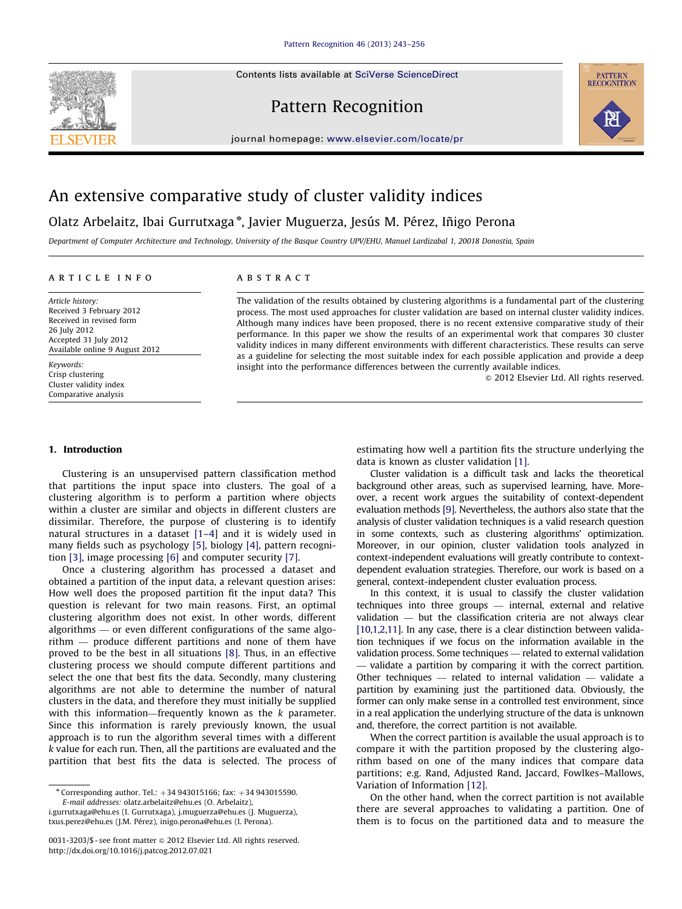Contents lists available at [SciVerse ScienceDirect](www.elsevier.com/locate/pr)



# Pattern Recognition



journal homepage: <www.elsevier.com/locate/pr>

# An extensive comparative study of cluster validity indices

Olatz Arbelaitz, Ibai Gurrutxaga\*, Javier Muguerza, Jesús M. Pérez, Iñigo Perona

Department of Computer Architecture and Technology, University of the Basque Country UPV/EHU, Manuel Lardizabal 1, 20018 Donostia, Spain

## article info

Article history: Received 3 February 2012 Received in revised form 26 July 2012 Accepted 31 July 2012 Available online 9 August 2012

Keywords: Crisp clustering Cluster validity index Comparative analysis

## 1. Introduction

Clustering is an unsupervised pattern classification method that partitions the input space into clusters. The goal of a clustering algorithm is to perform a partition where objects within a cluster are similar and objects in different clusters are dissimilar. Therefore, the purpose of clustering is to identify natural structures in a dataset [\[1–4](#page-12-0)] and it is widely used in many fields such as psychology [\[5\]](#page-12-0), biology [\[4\],](#page-12-0) pattern recognition [\[3\]](#page-12-0), image processing [\[6\]](#page-12-0) and computer security [\[7\]](#page-12-0).

Once a clustering algorithm has processed a dataset and obtained a partition of the input data, a relevant question arises: How well does the proposed partition fit the input data? This question is relevant for two main reasons. First, an optimal clustering algorithm does not exist. In other words, different algorithms — or even different configurations of the same algorithm — produce different partitions and none of them have proved to be the best in all situations [\[8\].](#page-12-0) Thus, in an effective clustering process we should compute different partitions and select the one that best fits the data. Secondly, many clustering algorithms are not able to determine the number of natural clusters in the data, and therefore they must initially be supplied with this information—frequently known as the  $k$  parameter. Since this information is rarely previously known, the usual approach is to run the algorithm several times with a different k value for each run. Then, all the partitions are evaluated and the partition that best fits the data is selected. The process of

# **ABSTRACT**

The validation of the results obtained by clustering algorithms is a fundamental part of the clustering process. The most used approaches for cluster validation are based on internal cluster validity indices. Although many indices have been proposed, there is no recent extensive comparative study of their performance. In this paper we show the results of an experimental work that compares 30 cluster validity indices in many different environments with different characteristics. These results can serve as a guideline for selecting the most suitable index for each possible application and provide a deep insight into the performance differences between the currently available indices.

 $\odot$  2012 Elsevier Ltd. All rights reserved.

estimating how well a partition fits the structure underlying the data is known as cluster validation [\[1\].](#page-12-0)

Cluster validation is a difficult task and lacks the theoretical background other areas, such as supervised learning, have. Moreover, a recent work argues the suitability of context-dependent evaluation methods [\[9\]](#page-12-0). Nevertheless, the authors also state that the analysis of cluster validation techniques is a valid research question in some contexts, such as clustering algorithms' optimization. Moreover, in our opinion, cluster validation tools analyzed in context-independent evaluations will greatly contribute to contextdependent evaluation strategies. Therefore, our work is based on a general, context-independent cluster evaluation process.

In this context, it is usual to classify the cluster validation techniques into three groups — internal, external and relative validation — but the classification criteria are not always clear [\[10,1](#page-12-0),[2,11](#page-12-0)]. In any case, there is a clear distinction between validation techniques if we focus on the information available in the validation process. Some techniques — related to external validation — validate a partition by comparing it with the correct partition. Other techniques — related to internal validation — validate a partition by examining just the partitioned data. Obviously, the former can only make sense in a controlled test environment, since in a real application the underlying structure of the data is unknown and, therefore, the correct partition is not available.

When the correct partition is available the usual approach is to compare it with the partition proposed by the clustering algorithm based on one of the many indices that compare data partitions; e.g. Rand, Adjusted Rand, Jaccard, Fowlkes–Mallows, Variation of Information [\[12\].](#page-12-0)

On the other hand, when the correct partition is not available there are several approaches to validating a partition. One of them is to focus on the partitioned data and to measure the

 $*$  Corresponding author. Tel.:  $+34$  943015166; fax:  $+34$  943015590. E-mail addresses: [olatz.arbelaitz@ehu.es \(O. Arbelaitz\),](mailto:olatz.arbelaitz@ehu.es)

[i.gurrutxaga@ehu.es \(I. Gurrutxaga\)](mailto:i.gurrutxaga@ehu.es), [j.muguerza@ehu.es \(J. Muguerza\),](mailto:j.muguerza@ehu.es) txus.perez@ehu.es (J.M. Pérez), [inigo.perona@ehu.es \(I. Perona\).](mailto:inigo.perona@ehu.es)

<sup>0031-3203/\$ -</sup> see front matter @ 2012 Elsevier Ltd. All rights reserved. [http://dx.doi.org/10.1016/j.patcog.2012.07.021](dx.doi.org/10.1016/j.patcog.2012.07.021)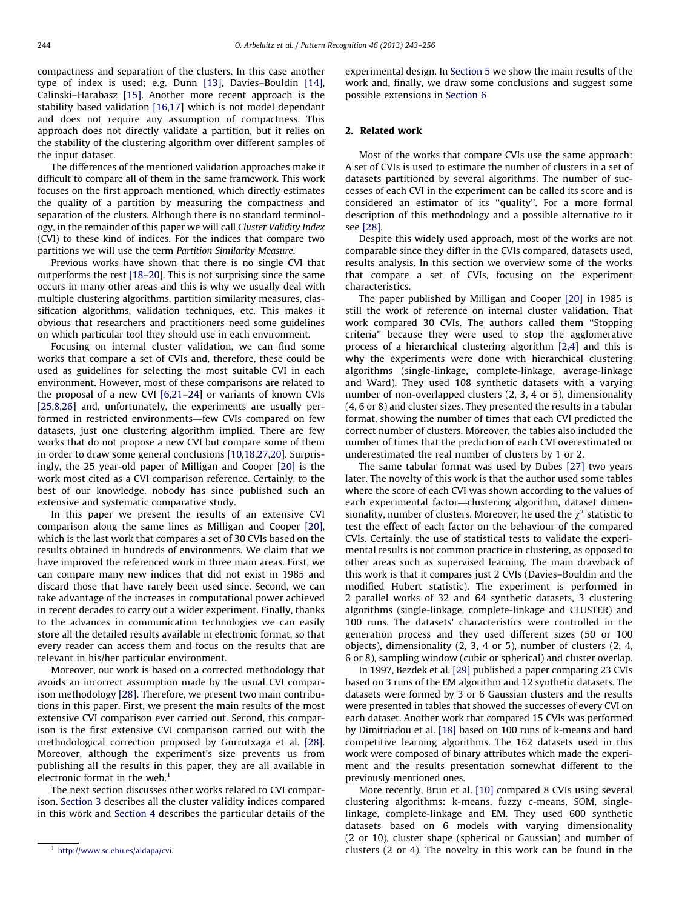<span id="page-1-0"></span>compactness and separation of the clusters. In this case another type of index is used; e.g. Dunn [\[13\],](#page-12-0) Davies–Bouldin [\[14\],](#page-12-0) Calinski–Harabasz [\[15\]](#page-12-0). Another more recent approach is the stability based validation [\[16,17\]](#page-12-0) which is not model dependant and does not require any assumption of compactness. This approach does not directly validate a partition, but it relies on the stability of the clustering algorithm over different samples of the input dataset.

The differences of the mentioned validation approaches make it difficult to compare all of them in the same framework. This work focuses on the first approach mentioned, which directly estimates the quality of a partition by measuring the compactness and separation of the clusters. Although there is no standard terminology, in the remainder of this paper we will call Cluster Validity Index (CVI) to these kind of indices. For the indices that compare two partitions we will use the term Partition Similarity Measure.

Previous works have shown that there is no single CVI that outperforms the rest [\[18–20](#page-12-0)]. This is not surprising since the same occurs in many other areas and this is why we usually deal with multiple clustering algorithms, partition similarity measures, classification algorithms, validation techniques, etc. This makes it obvious that researchers and practitioners need some guidelines on which particular tool they should use in each environment.

Focusing on internal cluster validation, we can find some works that compare a set of CVIs and, therefore, these could be used as guidelines for selecting the most suitable CVI in each environment. However, most of these comparisons are related to the proposal of a new CVI [\[6](#page-12-0),[21–24](#page-12-0)] or variants of known CVIs [\[25,8,26\]](#page-12-0) and, unfortunately, the experiments are usually performed in restricted environments—few CVIs compared on few datasets, just one clustering algorithm implied. There are few works that do not propose a new CVI but compare some of them in order to draw some general conclusions [\[10,18,27,20\]](#page-12-0). Surprisingly, the 25 year-old paper of Milligan and Cooper [\[20\]](#page-12-0) is the work most cited as a CVI comparison reference. Certainly, to the best of our knowledge, nobody has since published such an extensive and systematic comparative study.

In this paper we present the results of an extensive CVI comparison along the same lines as Milligan and Cooper [\[20\],](#page-12-0) which is the last work that compares a set of 30 CVIs based on the results obtained in hundreds of environments. We claim that we have improved the referenced work in three main areas. First, we can compare many new indices that did not exist in 1985 and discard those that have rarely been used since. Second, we can take advantage of the increases in computational power achieved in recent decades to carry out a wider experiment. Finally, thanks to the advances in communication technologies we can easily store all the detailed results available in electronic format, so that every reader can access them and focus on the results that are relevant in his/her particular environment.

Moreover, our work is based on a corrected methodology that avoids an incorrect assumption made by the usual CVI comparison methodology [\[28\]](#page-12-0). Therefore, we present two main contributions in this paper. First, we present the main results of the most extensive CVI comparison ever carried out. Second, this comparison is the first extensive CVI comparison carried out with the methodological correction proposed by Gurrutxaga et al. [\[28\].](#page-12-0) Moreover, although the experiment's size prevents us from publishing all the results in this paper, they are all available in electronic format in the web. $<sup>1</sup>$ </sup>

The next section discusses other works related to CVI comparison. [Section 3](#page-2-0) describes all the cluster validity indices compared in this work and [Section 4](#page-4-0) describes the particular details of the experimental design. In [Section 5](#page-5-0) we show the main results of the work and, finally, we draw some conclusions and suggest some possible extensions in [Section 6](#page-11-0)

# 2. Related work

Most of the works that compare CVIs use the same approach: A set of CVIs is used to estimate the number of clusters in a set of datasets partitioned by several algorithms. The number of successes of each CVI in the experiment can be called its score and is considered an estimator of its ''quality''. For a more formal description of this methodology and a possible alternative to it see [\[28\].](#page-12-0)

Despite this widely used approach, most of the works are not comparable since they differ in the CVIs compared, datasets used, results analysis. In this section we overview some of the works that compare a set of CVIs, focusing on the experiment characteristics.

The paper published by Milligan and Cooper [\[20\]](#page-12-0) in 1985 is still the work of reference on internal cluster validation. That work compared 30 CVIs. The authors called them ''Stopping criteria'' because they were used to stop the agglomerative process of a hierarchical clustering algorithm [\[2,4](#page-12-0)] and this is why the experiments were done with hierarchical clustering algorithms (single-linkage, complete-linkage, average-linkage and Ward). They used 108 synthetic datasets with a varying number of non-overlapped clusters (2, 3, 4 or 5), dimensionality (4, 6 or 8) and cluster sizes. They presented the results in a tabular format, showing the number of times that each CVI predicted the correct number of clusters. Moreover, the tables also included the number of times that the prediction of each CVI overestimated or underestimated the real number of clusters by 1 or 2.

The same tabular format was used by Dubes [\[27\]](#page-12-0) two years later. The novelty of this work is that the author used some tables where the score of each CVI was shown according to the values of each experimental factor—clustering algorithm, dataset dimensionality, number of clusters. Moreover, he used the  $\chi^2$  statistic to test the effect of each factor on the behaviour of the compared CVIs. Certainly, the use of statistical tests to validate the experimental results is not common practice in clustering, as opposed to other areas such as supervised learning. The main drawback of this work is that it compares just 2 CVIs (Davies–Bouldin and the modified Hubert statistic). The experiment is performed in 2 parallel works of 32 and 64 synthetic datasets, 3 clustering algorithms (single-linkage, complete-linkage and CLUSTER) and 100 runs. The datasets' characteristics were controlled in the generation process and they used different sizes (50 or 100 objects), dimensionality (2, 3, 4 or 5), number of clusters (2, 4, 6 or 8), sampling window (cubic or spherical) and cluster overlap.

In 1997, Bezdek et al. [\[29\]](#page-12-0) published a paper comparing 23 CVIs based on 3 runs of the EM algorithm and 12 synthetic datasets. The datasets were formed by 3 or 6 Gaussian clusters and the results were presented in tables that showed the successes of every CVI on each dataset. Another work that compared 15 CVIs was performed by Dimitriadou et al. [\[18\]](#page-12-0) based on 100 runs of k-means and hard competitive learning algorithms. The 162 datasets used in this work were composed of binary attributes which made the experiment and the results presentation somewhat different to the previously mentioned ones.

More recently, Brun et al. [\[10\]](#page-12-0) compared 8 CVIs using several clustering algorithms: k-means, fuzzy c-means, SOM, singlelinkage, complete-linkage and EM. They used 600 synthetic datasets based on 6 models with varying dimensionality (2 or 10), cluster shape (spherical or Gaussian) and number of <sup>1</sup> [http://www.sc.ehu.es/aldapa/cvi.](http://www.sc.ehu.es/aldapa/cvi) **1 http://www.sc.ehu.es/aldapa/cvi. 1 http://www.sc.ehu.es/aldapa/cvi. 1 http://www.sc.ehu.es/aldapa/cvi. 1 http://www.sc.ehu.es/aldapa/cvi. 1 html**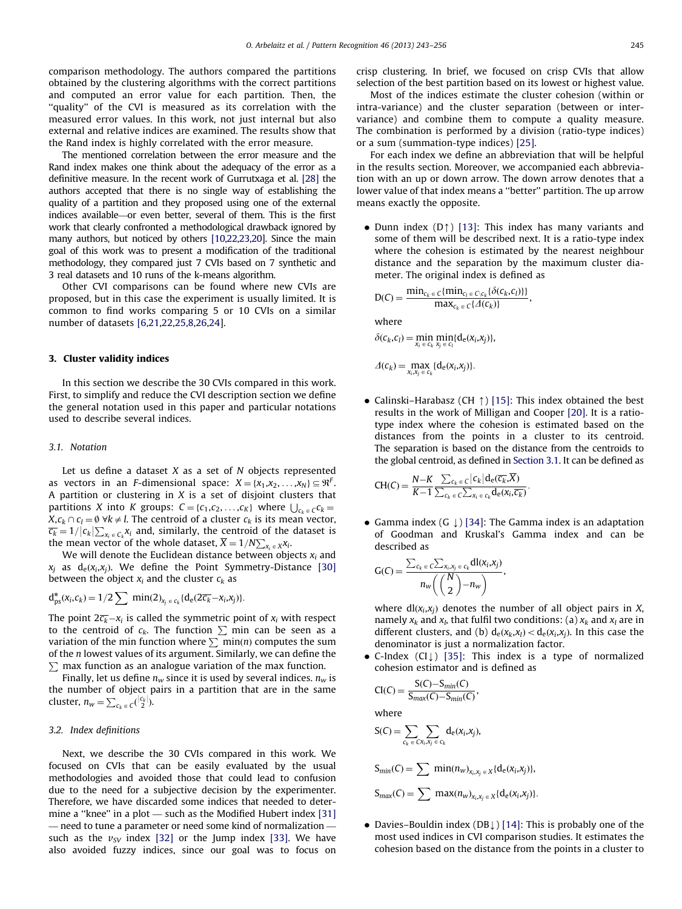<span id="page-2-0"></span>comparison methodology. The authors compared the partitions obtained by the clustering algorithms with the correct partitions and computed an error value for each partition. Then, the "quality" of the CVI is measured as its correlation with the measured error values. In this work, not just internal but also external and relative indices are examined. The results show that the Rand index is highly correlated with the error measure.

The mentioned correlation between the error measure and the Rand index makes one think about the adequacy of the error as a definitive measure. In the recent work of Gurrutxaga et al. [\[28\]](#page-12-0) the authors accepted that there is no single way of establishing the quality of a partition and they proposed using one of the external indices available—or even better, several of them. This is the first work that clearly confronted a methodological drawback ignored by many authors, but noticed by others [\[10,22,23](#page-12-0),[20\]](#page-12-0). Since the main goal of this work was to present a modification of the traditional methodology, they compared just 7 CVIs based on 7 synthetic and 3 real datasets and 10 runs of the k-means algorithm.

Other CVI comparisons can be found where new CVIs are proposed, but in this case the experiment is usually limited. It is common to find works comparing 5 or 10 CVIs on a similar number of datasets [\[6,21,22,25,8,26,24](#page-12-0)].

### 3. Cluster validity indices

In this section we describe the 30 CVIs compared in this work. First, to simplify and reduce the CVI description section we define the general notation used in this paper and particular notations used to describe several indices.

## 3.1. Notation

Let us define a dataset  $X$  as a set of  $N$  objects represented as vectors in an *F*-dimensional space:  $X = \{x_1, x_2, \ldots, x_N\} \subseteq \mathbb{R}^F$ . A partition or clustering in  $X$  is a set of disjoint clusters that partitions X into K groups:  $C = \{c_1, c_2, ..., c_K\}$  where  $\bigcup_{c_k \in C} C_k =$  $X, c_k \cap c_l = \emptyset \forall k \neq l$ . The centroid of a cluster  $c_k$  is its mean vector,  $\overline{c_k} = 1/|c_k| \sum_{x_i \in C_k} x_i$  and, similarly, the centroid of the dataset is<br>the mean vector of the whole dataset  $\overline{X} - 1/N \sum_{x_i} x_i$ the mean vector of the whole dataset,  $\overline{X} = 1/N \sum_{x_i \in X} X_i$ .

We will denote the Euclidean distance between objects  $x_i$  and  $x_i$  as  $d_e(x_i,x_i)$ . We define the Point Symmetry-Distance [\[30\]](#page-12-0) between the object  $x_i$  and the cluster  $c_k$  as

$$
d_{ps}^{*}(x_{i}, c_{k}) = 1/2 \sum \ min(2)_{x_{j} \in c_{k}} \{d_{e}(2\overline{c_{k}} - x_{i}, x_{j})\}.
$$

The point  $2\overline{c_k} - x_i$  is called the symmetric point of  $x_i$  with respect to the centroid of  $c_k$ . The function  $\sum$  min can be seen as a variation of the min function where  $\sum$  min(n) computes the sum of the n lowest values of its argument. Similarly, we can define the  $\Sigma$  max function as an analogue variation of the max function.

Finally, let us define  $n_w$  since it is used by several indices.  $n_w$  is the number of object pairs in a partition that are in the same cluster,  $n_w = \sum_{c_k \in C} \binom{|c_k|}{2}$ .

#### 3.2. Index definitions

Next, we describe the 30 CVIs compared in this work. We focused on CVIs that can be easily evaluated by the usual methodologies and avoided those that could lead to confusion due to the need for a subjective decision by the experimenter. Therefore, we have discarded some indices that needed to determine a ''knee'' in a plot — such as the Modified Hubert index [\[31\]](#page-12-0) — need to tune a parameter or need some kind of normalization such as the  $v_{SV}$  index [\[32\]](#page-12-0) or the Jump index [\[33\]](#page-12-0). We have also avoided fuzzy indices, since our goal was to focus on crisp clustering. In brief, we focused on crisp CVIs that allow selection of the best partition based on its lowest or highest value.

Most of the indices estimate the cluster cohesion (within or intra-variance) and the cluster separation (between or intervariance) and combine them to compute a quality measure. The combination is performed by a division (ratio-type indices) or a sum (summation-type indices) [\[25\].](#page-12-0)

For each index we define an abbreviation that will be helpful in the results section. Moreover, we accompanied each abbreviation with an up or down arrow. The down arrow denotes that a lower value of that index means a ''better'' partition. The up arrow means exactly the opposite.

• Dunn index  $(D \uparrow)$  [\[13\]](#page-12-0): This index has many variants and some of them will be described next. It is a ratio-type index where the cohesion is estimated by the nearest neighbour distance and the separation by the maximum cluster diameter. The original index is defined as

$$
D(C) = \frac{\min_{C_k \in C} \{\min_{C_l \in C \setminus C_k} \{\delta(c_k, c_l)\}\}}{\max_{C_k \in C} \{\Delta(c_k)\}}
$$
\nwhere\n
$$
\delta(c_k, c_l) = \min_{x_l \in C_k} \min_{x_l \in C_l} \{d_e(x_l, x_j)\},
$$

 $\Delta(c_k) = \max_{x_i, x_j \in c_k} \{d_e(x_i, x_j)\}.$ 

• Calinski–Harabasz (CH  $\uparrow$ ) [\[15\]](#page-12-0): This index obtained the best results in the work of Milligan and Cooper [\[20\]](#page-12-0). It is a ratiotype index where the cohesion is estimated based on the distances from the points in a cluster to its centroid. The separation is based on the distance from the centroids to the global centroid, as defined in Section 3.1. It can be defined as

$$
CH(C) = \frac{N-K}{K-1} \frac{\sum_{c_k \in C} |c_k| d_e(\overline{c_k}, \overline{X})}{\sum_{c_k \in C} \sum_{x_i \in c_k} d_e(x_i, \overline{c_k})}.
$$

• Gamma index  $(G \downarrow)$  [\[34\]](#page-12-0): The Gamma index is an adaptation of Goodman and Kruskal's Gamma index and can be described as

$$
G(C) = \frac{\sum_{c_k \in C} \sum_{x_i, x_j \in c_k} dl(x_i, x_j)}{n_w \left( \binom{N}{2} - n_w \right)},
$$

where  $dl(x_i,x_i)$  denotes the number of all object pairs in X, namely  $x_k$  and  $x_l$ , that fulfil two conditions: (a)  $x_k$  and  $x_l$  are in different clusters, and (b)  $d_e(x_k, x_l) < d_e(x_i, x_j)$ . In this case the denominator is just a normalization factor.

• C-Index  $(Cl)$  [\[35\]:](#page-12-0) This index is a type of normalized cohesion estimator and is defined as

$$
CI(C) = \frac{S(C) - S_{min}(C)}{S_{max}(C) - S_{min}(C)},
$$

where

$$
S(C) = \sum_{c_k \in C_{X_i}, x_j \in c_k} d_e(x_i, x_j),
$$

$$
S_{min}(C) = \sum \min(n_w)_{x_i, x_j \in X} \{d_e(x_i, x_j)\},
$$
  

$$
S_{max}(C) = \sum \max(n_w)_{x_i, x_j \in X} \{d_e(x_i, x_j)\}.
$$

• Davies–Bouldin index (DB $\downarrow$ ) [\[14\]](#page-12-0): This is probably one of the most used indices in CVI comparison studies. It estimates the cohesion based on the distance from the points in a cluster to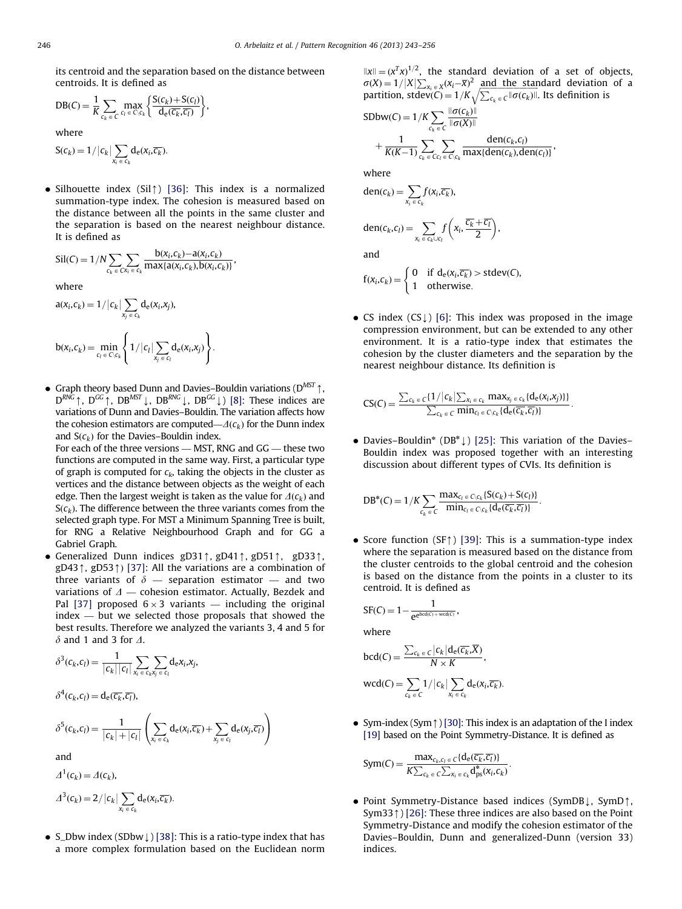its centroid and the separation based on the distance between centroids. It is defined as

$$
DB(C) = \frac{1}{K} \sum_{c_k \in C} \max_{c_l \in C_{\setminus c_k}} \left\{ \frac{S(c_k) + S(c_l)}{d_e(\overline{c_k}, \overline{c_l})} \right\},
$$

where

$$
S(c_k) = 1/|c_k| \sum_{x_i \in c_k} d_e(x_i, \overline{c_k}).
$$

 $\bullet$  Silhouette index (Sil $\uparrow$ ) [\[36\]](#page-12-0): This index is a normalized summation-type index. The cohesion is measured based on the distance between all the points in the same cluster and the separation is based on the nearest neighbour distance. It is defined as

$$
Sil(C) = 1/N \sum_{c_k \in C_{X_i} \in c_k} \frac{b(x_i, c_k) - a(x_i, c_k)}{\max\{a(x_i, c_k), b(x_i, c_k)\}},
$$

where

$$
a(x_i, c_k) = 1/|c_k| \sum_{x_j \in c_k} d_e(x_i, x_j),
$$
  

$$
b(x_i, c_k) = \min_{c_l \in C, c_k} \left\{ 1/|c_l| \sum_{x_j \in c_l} d_e(x_i, x_j) \right\}.
$$

• Graph theory based Dunn and Davies–Bouldin variations ( $D^{MST} \uparrow$ ,  $\mathsf{D}^\mathsf{RNG}\!\uparrow$ ,  $\mathsf{D}^\mathsf{GG}\!\uparrow$ ,  $\mathsf{DB}^\mathsf{MST}\!\downarrow$ ,  $\mathsf{DB}^\mathsf{RNG}\!\downarrow$ ,  $\mathsf{DB}^\mathsf{GG}\!\downarrow$ ) [\[8\]](#page-12-0): These indices are variations of Dunn and Davies–Bouldin. The variation affects how the cohesion estimators are computed— $\Delta(c_k)$  for the Dunn index and  $S(c_k)$  for the Davies–Bouldin index.

For each of the three versions — MST, RNG and GG — these two functions are computed in the same way. First, a particular type of graph is computed for  $c_k$ , taking the objects in the cluster as vertices and the distance between objects as the weight of each edge. Then the largest weight is taken as the value for  $\Delta(c_k)$  and  $S(c_k)$ . The difference between the three variants comes from the selected graph type. For MST a Minimum Spanning Tree is built, for RNG a Relative Neighbourhood Graph and for GG a Gabriel Graph.

• Generalized Dunn indices gD31 $\uparrow$ , gD41 $\uparrow$ , gD51 $\uparrow$ , gD33 $\uparrow$ , gD43 $\uparrow$ , gD53 $\uparrow$ ) [\[37\]:](#page-12-0) All the variations are a combination of three variants of  $\delta$  — separation estimator — and two variations of  $\Delta$  — cohesion estimator. Actually, Bezdek and Pal [\[37\]](#page-12-0) proposed  $6 \times 3$  variants — including the original index — but we selected those proposals that showed the best results. Therefore we analyzed the variants 3, 4 and 5 for  $\delta$  and 1 and 3 for  $\Delta$ .

> $\sqrt{2}$ A

$$
\delta^{3}(c_{k}, c_{l}) = \frac{1}{|c_{k}||c_{l}|} \sum_{x_{i} \in c_{k}x_{j} \in c_{l}} d_{e}x_{i}, x_{j},
$$

$$
\delta^{4}(c_{k}, c_{l}) = d_{e}(\overline{c_{k}}, \overline{c_{l}}),
$$

$$
\delta^{5}(c_{k}, c_{l}) = \frac{1}{|c_{k}| + |c_{l}|} \left( \sum_{x_{i} \in c_{k}} d_{e}(x_{i}, \overline{c_{k}}) + \sum_{x_{j} \in c_{l}} d_{e}(x_{j}, \overline{c_{l}}) \right)
$$

and

$$
\Delta^1(c_k) = \Delta(c_k),
$$
  

$$
\Delta^3(c_k) = 2/|c_k| \sum_{x_i \in c_k} d_e(x_i, \overline{c_k}).
$$

• S\_Dbw index (SDbw  $\downarrow$ ) [\[38\]:](#page-12-0) This is a ratio-type index that has a more complex formulation based on the Euclidean norm  $||x|| = (x^T x)^{1/2}$ , the standard deviation of a set of objects,  $\sigma(X) = 1/|X| \sum_{x_i \in X} (x_i - \overline{x})^2$  and the standard deviation of a partition state of  $\sigma(X) = 1/k$   $\sum_{x_i \in X} \frac{||\sigma(x_i)||}{||\sigma(x_i)||}$  its definition is  $\phi(x) = 1/|\Lambda| \sum_{x_i \in X} (x_i - \lambda)$  and the standard deviation is partition, stdev $(C) = 1/K \sqrt{\sum_{c_k \in C} |\sigma(c_k)|}$ . Its definition is

$$
SDbw(C) = 1/K \sum_{c_k \in C} \frac{\|\sigma(c_k)\|}{\|\sigma(X)\|} + \frac{1}{K(K-1)} \sum_{c_k \in C_{c_l} \in C_{c_k}} \frac{\text{den}(c_k, c_l)}{\max\{\text{den}(c_k), \text{den}(c_l)\}},
$$

where

den
$$
(c_k)
$$
 =  $\sum_{x_i \in c_k} f(x_i, \overline{c_k})$ ,  
den $(c_k, c_l)$  =  $\sum_{x_i \in c_k \cup c_l} f\left(x_i, \frac{\overline{c_k} + \overline{c_l}}{2}\right)$ 

and

$$
f(x_i, c_k) = \begin{cases} 0 & \text{if } d_e(x_i, \overline{c_k}) > stdev(C), \\ 1 & \text{otherwise.} \end{cases}
$$

• CS index  $(CS_k)$  [\[6\]:](#page-12-0) This index was proposed in the image compression environment, but can be extended to any other environment. It is a ratio-type index that estimates the cohesion by the cluster diameters and the separation by the nearest neighbour distance. Its definition is

2

,

$$
CS(C)=\frac{\sum_{c_k\in C}\{1/\big|c_k\big|\sum_{x_i\in c_k}max_{x_j\in c_k}\{d_e(x_i,x_j)\}\}}{\sum_{c_k\in C}min_{c_l\in C\setminus c_k}\{d_e(\overline{c_k},\overline{c_l})\}}.
$$

• Davies-Bouldin\* (DB\* $\downarrow$ ) [\[25\]](#page-12-0): This variation of the Davies-Bouldin index was proposed together with an interesting discussion about different types of CVIs. Its definition is

$$
DB^*(C) = 1/K \sum_{c_k \in C} \frac{\max_{c_l \in C \setminus c_k} \{S(c_k) + S(c_l)\}}{\min_{c_l \in C \setminus c_k} \{d_e(\overline{c_k}, \overline{c_l})\}}.
$$

• Score function (SF $\uparrow$ ) [\[39\]](#page-12-0): This is a summation-type index where the separation is measured based on the distance from the cluster centroids to the global centroid and the cohesion is based on the distance from the points in a cluster to its centroid. It is defined as

$$
SF(C) = 1 - \frac{1}{e^{e^{bc d(C) + wcd(C)}}},
$$

where

$$
bcd(C) = \frac{\sum_{c_k \in C} |c_k| d_e(\overline{c_k}, \overline{X})}{N \times K},
$$
  

$$
wcd(C) = \sum_{c_k \in C} 1/|c_k| \sum_{x_i \in c_k} d_e(x_i, \overline{c_k}).
$$

• Sym-index (Sym $\uparrow$ ) [\[30\]:](#page-12-0) This index is an adaptation of the I index [\[19\]](#page-12-0) based on the Point Symmetry-Distance. It is defined as

$$
Sym(C) = \frac{\max_{c_k, c_l \in C} \{d_e(\overline{c_k}, \overline{c_l})\}}{K \sum_{c_k \in C} \sum_{x_i \in c_k} d_{ps}^*(x_i, c_k)}.
$$

• Point Symmetry-Distance based indices (SymDB $\downarrow$ , SymD $\uparrow$ , Sym33 $\uparrow$  [\[26\]](#page-12-0): These three indices are also based on the Point Symmetry-Distance and modify the cohesion estimator of the Davies–Bouldin, Dunn and generalized-Dunn (version 33) indices.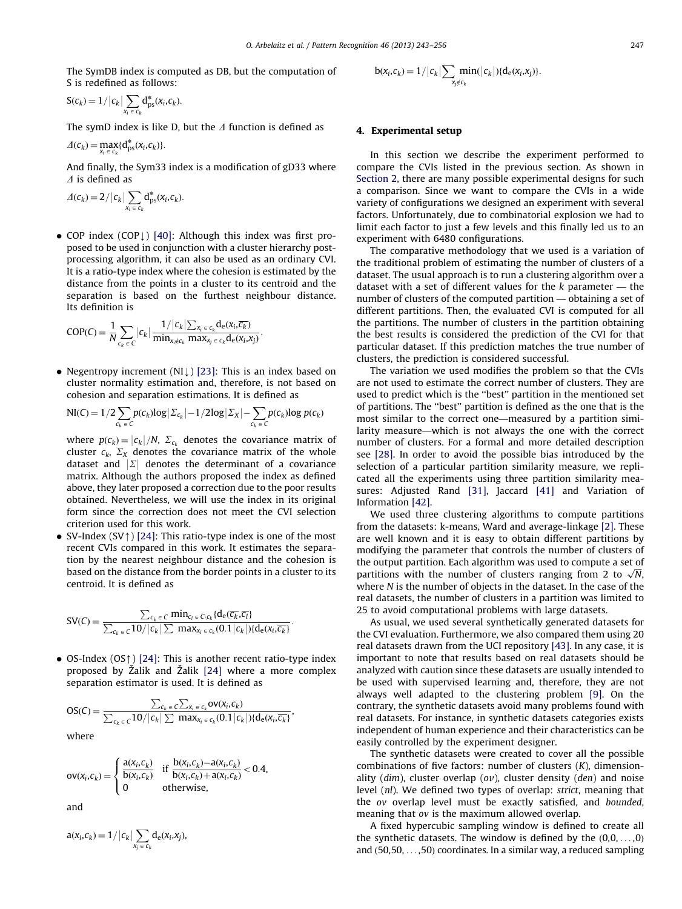<span id="page-4-0"></span>The SymDB index is computed as DB, but the computation of S is redefined as follows:

$$
S(c_k) = 1/|c_k| \sum_{x_i \in c_k} d_{ps}^*(x_i, c_k).
$$

The symD index is like D, but the  $\Delta$  function is defined as

$$
\Delta(c_k) = \max_{x_i \in c_k} \{ \mathbf{d}_{\text{ps}}^*(x_i, c_k) \}.
$$

And finally, the Sym33 index is a modification of gD33 where  $\Lambda$  is defined as

$$
\Delta(c_k) = 2/|c_k| \sum_{x_i \in c_k} d_{ps}^*(x_i, c_k).
$$

 $\bullet$  COP index (COP $\downarrow$ ) [\[40\]:](#page-12-0) Although this index was first proposed to be used in conjunction with a cluster hierarchy postprocessing algorithm, it can also be used as an ordinary CVI. It is a ratio-type index where the cohesion is estimated by the distance from the points in a cluster to its centroid and the separation is based on the furthest neighbour distance. Its definition is

$$
COP(C) = \frac{1}{N} \sum_{c_k \in C} |c_k| \frac{1/|c_k| \sum_{x_i \in c_k} d_e(x_i, \overline{c_k})}{\min_{x_i \notin c_k} \max_{x_j \in c_k} d_e(x_i, x_j)}.
$$

• Negentropy increment (NI $\downarrow$ ) [\[23\]:](#page-12-0) This is an index based on cluster normality estimation and, therefore, is not based on cohesion and separation estimations. It is defined as

$$
NI(C) = 1/2 \sum_{c_k \in C} p(c_k) \log \left| \sum_{c_k} \right| - 1/2 \log \left| \sum_{c_k \in C} p(c_k) \log p(c_k) \right|
$$

where  $p(c_k) = |c_k|/N$ ,  $\Sigma_{c_k}$  denotes the covariance matrix of cluster  $c_k$ ,  $\Sigma_X$  denotes the covariance matrix of the whole dataset and  $|\Sigma|$  denotes the determinant of a covariance matrix. Although the authors proposed the index as defined above, they later proposed a correction due to the poor results obtained. Nevertheless, we will use the index in its original form since the correction does not meet the CVI selection criterion used for this work.

• SV-Index (SV $\uparrow$ ) [\[24\]](#page-12-0): This ratio-type index is one of the most recent CVIs compared in this work. It estimates the separation by the nearest neighbour distance and the cohesion is based on the distance from the border points in a cluster to its centroid. It is defined as

$$
SV(C) = \frac{\sum_{c_k \in C} \min_{c_i \in C \setminus c_k} \{d_e(\overline{c_k}, \overline{c_l}\})}{\sum_{c_k \in C} 10/|c_k| \sum \max_{x_i \in c_k} (0.1|c_k|) \{d_e(x_i, \overline{c_k}\})}
$$

• OS-Index  $(OS\uparrow)$  [\[24\]](#page-12-0): This is another recent ratio-type index proposed by Žalik and Žalik [\[24\]](#page-12-0) where a more complex separation estimator is used. It is defined as

:

$$
OS(C) = \frac{\sum_{c_k \in C} \sum_{x_i \in c_k} oV(x_i, c_k)}{\sum_{c_k \in C} 10/|c_k| \sum \max_{x_i \in c_k} (0.1|c_k|) \{d_e(x_i, \overline{c_k})}\},
$$

where

$$
ov(x_i, c_k) = \begin{cases} \frac{a(x_i, c_k)}{b(x_i, c_k)} & \text{if } \frac{b(x_i, c_k) - a(x_i, c_k)}{b(x_i, c_k) + a(x_i, c_k)} < 0.4, \\ 0 & \text{otherwise,} \end{cases}
$$

and

$$
a(x_i,c_k) = 1/|c_k| \sum_{x_j \in c_k} d_e(x_i,x_j),
$$

$$
b(x_i,c_k) = 1/|c_k| \sum_{x_j \notin c_k} \min(|c_k|) \{d_e(x_i,x_j)\}.
$$

### 4. Experimental setup

In this section we describe the experiment performed to compare the CVIs listed in the previous section. As shown in [Section 2,](#page-1-0) there are many possible experimental designs for such a comparison. Since we want to compare the CVIs in a wide variety of configurations we designed an experiment with several factors. Unfortunately, due to combinatorial explosion we had to limit each factor to just a few levels and this finally led us to an experiment with 6480 configurations.

The comparative methodology that we used is a variation of the traditional problem of estimating the number of clusters of a dataset. The usual approach is to run a clustering algorithm over a dataset with a set of different values for the  $k$  parameter  $-$  the number of clusters of the computed partition — obtaining a set of different partitions. Then, the evaluated CVI is computed for all the partitions. The number of clusters in the partition obtaining the best results is considered the prediction of the CVI for that particular dataset. If this prediction matches the true number of clusters, the prediction is considered successful.

The variation we used modifies the problem so that the CVIs are not used to estimate the correct number of clusters. They are used to predict which is the ''best'' partition in the mentioned set of partitions. The ''best'' partition is defined as the one that is the most similar to the correct one—measured by a partition similarity measure—which is not always the one with the correct number of clusters. For a formal and more detailed description see [\[28\]](#page-12-0). In order to avoid the possible bias introduced by the selection of a particular partition similarity measure, we replicated all the experiments using three partition similarity measures: Adjusted Rand [\[31\],](#page-12-0) Jaccard [\[41\]](#page-12-0) and Variation of Information [\[42\].](#page-12-0)

We used three clustering algorithms to compute partitions from the datasets: k-means, Ward and average-linkage [\[2\]](#page-12-0). These are well known and it is easy to obtain different partitions by modifying the parameter that controls the number of clusters of the output partition. Each algorithm was used to compute a set of the output partition, each algorithm was used to compute a set of partitions with the number of clusters ranging from 2 to  $\sqrt{N}$ , where N is the number of objects in the dataset. In the case of the real datasets, the number of clusters in a partition was limited to 25 to avoid computational problems with large datasets.

As usual, we used several synthetically generated datasets for the CVI evaluation. Furthermore, we also compared them using 20 real datasets drawn from the UCI repository [\[43\].](#page-12-0) In any case, it is important to note that results based on real datasets should be analyzed with caution since these datasets are usually intended to be used with supervised learning and, therefore, they are not always well adapted to the clustering problem [\[9\].](#page-12-0) On the contrary, the synthetic datasets avoid many problems found with real datasets. For instance, in synthetic datasets categories exists independent of human experience and their characteristics can be easily controlled by the experiment designer.

The synthetic datasets were created to cover all the possible combinations of five factors: number of clusters  $(K)$ , dimensionality (dim), cluster overlap (ov), cluster density (den) and noise level (nl). We defined two types of overlap: strict, meaning that the ov overlap level must be exactly satisfied, and bounded, meaning that ov is the maximum allowed overlap.

A fixed hypercubic sampling window is defined to create all the synthetic datasets. The window is defined by the  $(0,0, \ldots, 0)$ and  $(50,50, \ldots, 50)$  coordinates. In a similar way, a reduced sampling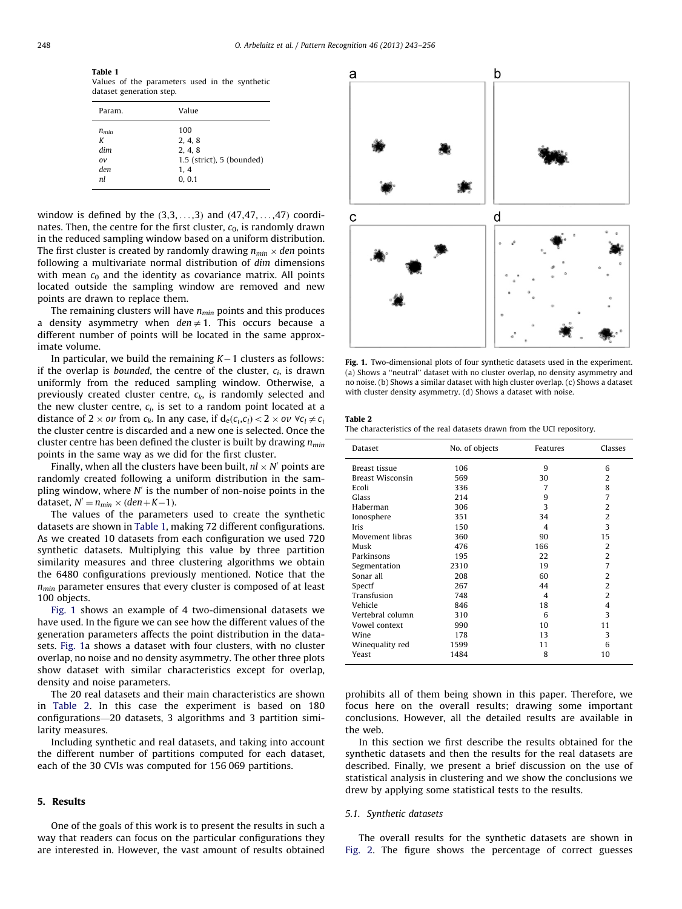<span id="page-5-0"></span>

| Table 1 |  |  |                                                |  |  |  |  |  |  |  |
|---------|--|--|------------------------------------------------|--|--|--|--|--|--|--|
|         |  |  | Values of the parameters used in the synthetic |  |  |  |  |  |  |  |
|         |  |  | dataset generation step.                       |  |  |  |  |  |  |  |

| Param.    | Value                         |
|-----------|-------------------------------|
| $n_{min}$ | 100                           |
| K         | 2, 4, 8                       |
| dim       | 2, 4, 8                       |
| $\alpha$  | $1.5$ (strict), $5$ (bounded) |
| den       | 1.4                           |
| nl        | 0, 0.1                        |

window is defined by the  $(3,3,\ldots,3)$  and  $(47,47,\ldots,47)$  coordinates. Then, the centre for the first cluster,  $c_0$ , is randomly drawn in the reduced sampling window based on a uniform distribution. The first cluster is created by randomly drawing  $n_{min} \times$  den points following a multivariate normal distribution of dim dimensions with mean  $c_0$  and the identity as covariance matrix. All points located outside the sampling window are removed and new points are drawn to replace them.

The remaining clusters will have  $n_{min}$  points and this produces a density asymmetry when  $den \neq 1$ . This occurs because a different number of points will be located in the same approximate volume.

In particular, we build the remaining  $K-1$  clusters as follows: if the overlap is bounded, the centre of the cluster,  $c_i$ , is drawn uniformly from the reduced sampling window. Otherwise, a previously created cluster centre,  $c_k$ , is randomly selected and the new cluster centre,  $c_i$ , is set to a random point located at a distance of  $2 \times ov$  from  $c_k$ . In any case, if  $d_e(c_i,c_l) < 2 \times ov \ \forall c_l \neq c_i$ the cluster centre is discarded and a new one is selected. Once the cluster centre has been defined the cluster is built by drawing  $n_{min}$ points in the same way as we did for the first cluster.

Finally, when all the clusters have been built,  $nl \times N'$  points are randomly created following a uniform distribution in the sampling window, where  $N'$  is the number of non-noise points in the dataset,  $N' = n_{min} \times (den + K - 1)$ .

The values of the parameters used to create the synthetic datasets are shown in Table 1, making 72 different configurations. As we created 10 datasets from each configuration we used 720 synthetic datasets. Multiplying this value by three partition similarity measures and three clustering algorithms we obtain the 6480 configurations previously mentioned. Notice that the  $n_{min}$  parameter ensures that every cluster is composed of at least 100 objects.

Fig. 1 shows an example of 4 two-dimensional datasets we have used. In the figure we can see how the different values of the generation parameters affects the point distribution in the datasets. Fig. 1a shows a dataset with four clusters, with no cluster overlap, no noise and no density asymmetry. The other three plots show dataset with similar characteristics except for overlap, density and noise parameters.

The 20 real datasets and their main characteristics are shown in Table 2. In this case the experiment is based on 180 configurations—20 datasets, 3 algorithms and 3 partition similarity measures.

Including synthetic and real datasets, and taking into account the different number of partitions computed for each dataset, each of the 30 CVIs was computed for 156 069 partitions.

# 5. Results

One of the goals of this work is to present the results in such a way that readers can focus on the particular configurations they are interested in. However, the vast amount of results obtained



Fig. 1. Two-dimensional plots of four synthetic datasets used in the experiment. (a) Shows a ''neutral'' dataset with no cluster overlap, no density asymmetry and no noise. (b) Shows a similar dataset with high cluster overlap. (c) Shows a dataset with cluster density asymmetry. (d) Shows a dataset with noise.

#### Table 2

The characteristics of the real datasets drawn from the UCI repository.

| Dataset                 | No. of objects | Features       | Classes        |
|-------------------------|----------------|----------------|----------------|
| Breast tissue           | 106            | 9              | 6              |
| <b>Breast Wisconsin</b> | 569            | 30             | $\overline{2}$ |
| Ecoli                   | 336            | 7              | 8              |
| Glass                   | 214            | 9              | 7              |
| Haberman                | 306            | 3              | $\overline{2}$ |
| Ionosphere              | 351            | 34             | 2              |
| Iris                    | 150            | 4              | 3              |
| Movement libras         | 360            | 90             | 15             |
| Musk                    | 476            | 166            | 2              |
| Parkinsons              | 195            | 22             | $\overline{2}$ |
| Segmentation            | 2310           | 19             | 7              |
| Sonar all               | 208            | 60             | $\overline{2}$ |
| Spectf                  | 267            | 44             | $\overline{2}$ |
| Transfusion             | 748            | $\overline{4}$ | 2              |
| Vehicle                 | 846            | 18             | 4              |
| Vertebral column        | 310            | 6              | 3              |
| Vowel context           | 990            | 10             | 11             |
| Wine                    | 178            | 13             | 3              |
| Winequality red         | 1599           | 11             | 6              |
| Yeast                   | 1484           | 8              | 10             |

prohibits all of them being shown in this paper. Therefore, we focus here on the overall results; drawing some important conclusions. However, all the detailed results are available in the web.

In this section we first describe the results obtained for the synthetic datasets and then the results for the real datasets are described. Finally, we present a brief discussion on the use of statistical analysis in clustering and we show the conclusions we drew by applying some statistical tests to the results.

#### 5.1. Synthetic datasets

The overall results for the synthetic datasets are shown in [Fig. 2.](#page-6-0) The figure shows the percentage of correct guesses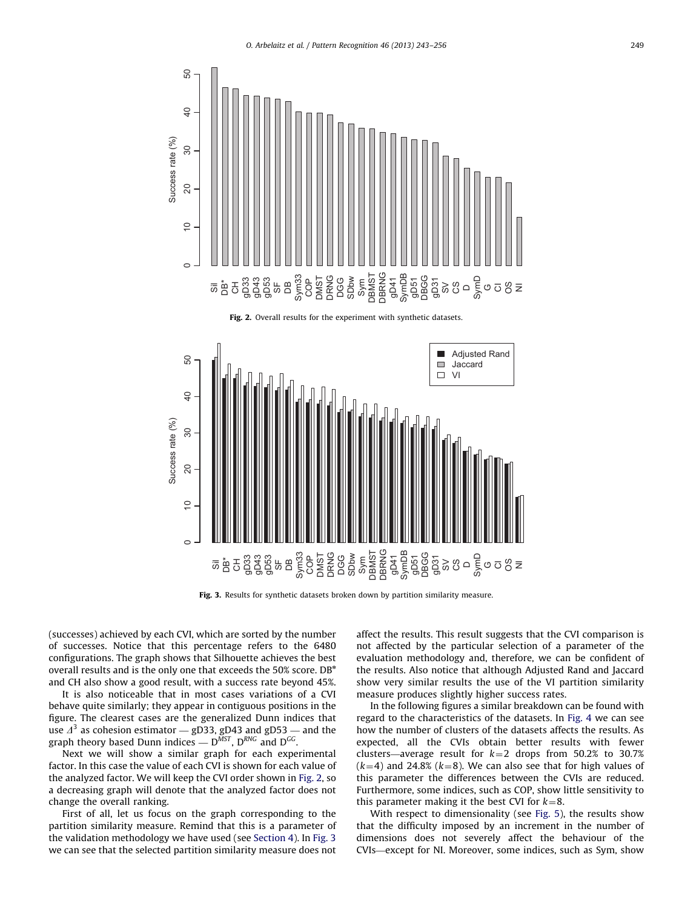<span id="page-6-0"></span>



Fig. 3. Results for synthetic datasets broken down by partition similarity measure.

(successes) achieved by each CVI, which are sorted by the number of successes. Notice that this percentage refers to the 6480 configurations. The graph shows that Silhouette achieves the best overall results and is the only one that exceeds the  $50\%$  score.  $DB^*$ and CH also show a good result, with a success rate beyond 45%.

It is also noticeable that in most cases variations of a CVI behave quite similarly; they appear in contiguous positions in the figure. The clearest cases are the generalized Dunn indices that use  $\Delta^3$  as cohesion estimator — gD33, gD43 and gD53 — and the graph theory based Dunn indices —  $D^{\overline{M}ST}$ ,  $D^{RNG}$  and  $D^{GG}$ .

Next we will show a similar graph for each experimental factor. In this case the value of each CVI is shown for each value of the analyzed factor. We will keep the CVI order shown in Fig. 2, so a decreasing graph will denote that the analyzed factor does not change the overall ranking.

First of all, let us focus on the graph corresponding to the partition similarity measure. Remind that this is a parameter of the validation methodology we have used (see [Section 4\)](#page-4-0). In Fig. 3 we can see that the selected partition similarity measure does not affect the results. This result suggests that the CVI comparison is not affected by the particular selection of a parameter of the evaluation methodology and, therefore, we can be confident of the results. Also notice that although Adjusted Rand and Jaccard show very similar results the use of the VI partition similarity measure produces slightly higher success rates.

In the following figures a similar breakdown can be found with regard to the characteristics of the datasets. In [Fig. 4](#page-7-0) we can see how the number of clusters of the datasets affects the results. As expected, all the CVIs obtain better results with fewer clusters—average result for  $k=2$  drops from 50.2% to 30.7%  $(k=4)$  and 24.8% ( $k=8$ ). We can also see that for high values of this parameter the differences between the CVIs are reduced. Furthermore, some indices, such as COP, show little sensitivity to this parameter making it the best CVI for  $k=8$ .

With respect to dimensionality (see [Fig. 5](#page-7-0)), the results show that the difficulty imposed by an increment in the number of dimensions does not severely affect the behaviour of the CVIs—except for NI. Moreover, some indices, such as Sym, show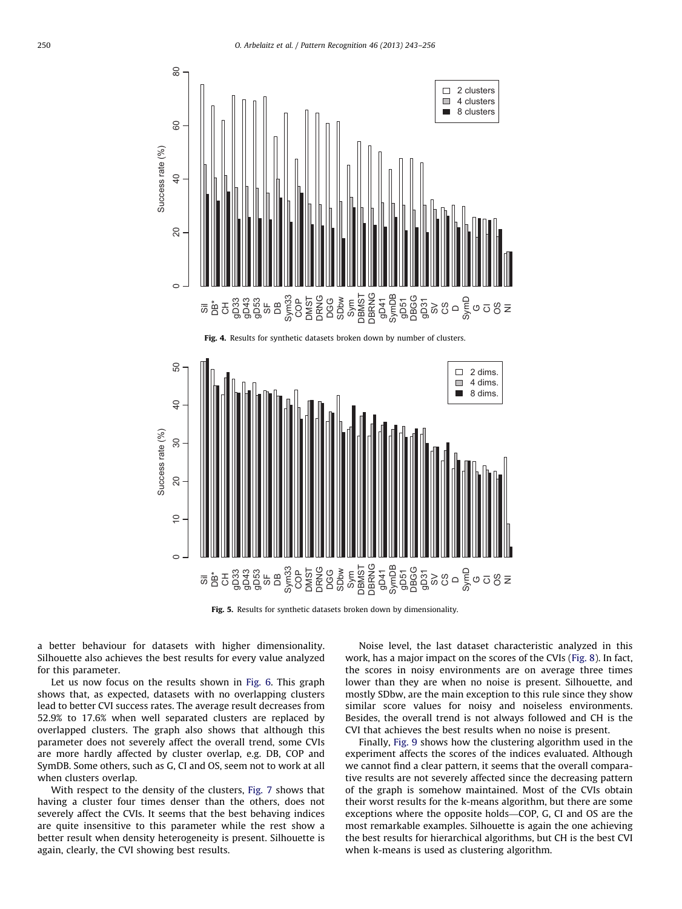<span id="page-7-0"></span>

Fig. 5. Results for synthetic datasets broken down by dimensionality.

a better behaviour for datasets with higher dimensionality. Silhouette also achieves the best results for every value analyzed for this parameter.

Let us now focus on the results shown in [Fig. 6.](#page-8-0) This graph shows that, as expected, datasets with no overlapping clusters lead to better CVI success rates. The average result decreases from 52.9% to 17.6% when well separated clusters are replaced by overlapped clusters. The graph also shows that although this parameter does not severely affect the overall trend, some CVIs are more hardly affected by cluster overlap, e.g. DB, COP and SymDB. Some others, such as G, CI and OS, seem not to work at all when clusters overlap.

With respect to the density of the clusters, [Fig. 7](#page-8-0) shows that having a cluster four times denser than the others, does not severely affect the CVIs. It seems that the best behaving indices are quite insensitive to this parameter while the rest show a better result when density heterogeneity is present. Silhouette is again, clearly, the CVI showing best results.

Noise level, the last dataset characteristic analyzed in this work, has a major impact on the scores of the CVIs [\(Fig. 8\)](#page-9-0). In fact, the scores in noisy environments are on average three times lower than they are when no noise is present. Silhouette, and mostly SDbw, are the main exception to this rule since they show similar score values for noisy and noiseless environments. Besides, the overall trend is not always followed and CH is the CVI that achieves the best results when no noise is present.

Finally, [Fig. 9](#page-9-0) shows how the clustering algorithm used in the experiment affects the scores of the indices evaluated. Although we cannot find a clear pattern, it seems that the overall comparative results are not severely affected since the decreasing pattern of the graph is somehow maintained. Most of the CVIs obtain their worst results for the k-means algorithm, but there are some exceptions where the opposite holds—COP, G, CI and OS are the most remarkable examples. Silhouette is again the one achieving the best results for hierarchical algorithms, but CH is the best CVI when k-means is used as clustering algorithm.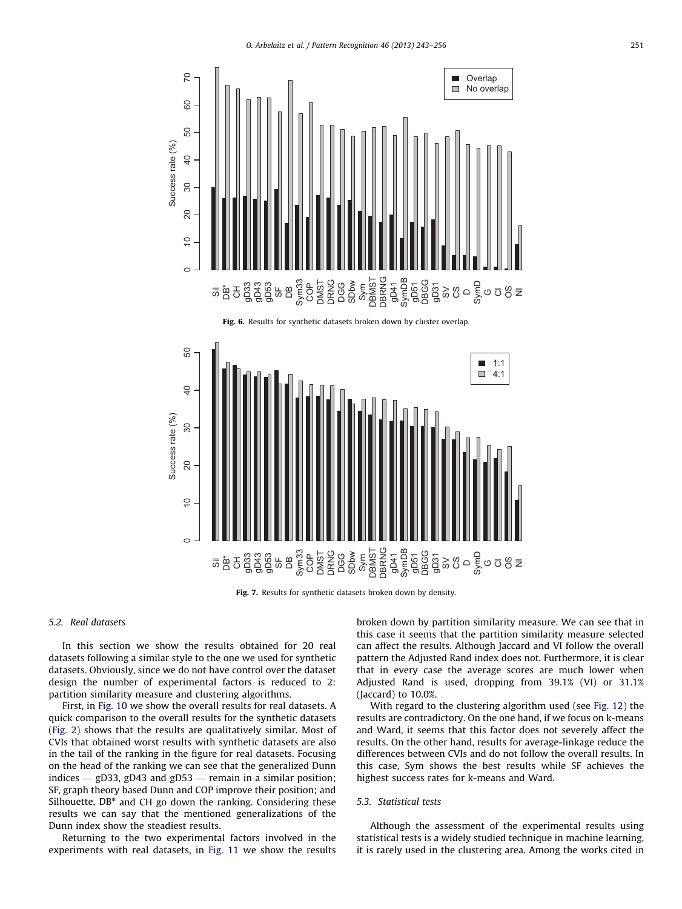<span id="page-8-0"></span>

Fig. 7. Results for synthetic datasets broken down by density.

# 5.2. Real datasets

In this section we show the results obtained for 20 real datasets following a similar style to the one we used for synthetic datasets. Obviously, since we do not have control over the dataset design the number of experimental factors is reduced to 2: partition similarity measure and clustering algorithms.

First, in [Fig. 10](#page-10-0) we show the overall results for real datasets. A quick comparison to the overall results for the synthetic datasets ([Fig. 2](#page-6-0)) shows that the results are qualitatively similar. Most of CVIs that obtained worst results with synthetic datasets are also in the tail of the ranking in the figure for real datasets. Focusing on the head of the ranking we can see that the generalized Dunn indices — gD33, gD43 and gD53 — remain in a similar position; SF, graph theory based Dunn and COP improve their position; and Silhouette,  $DB^*$  and CH go down the ranking. Considering these results we can say that the mentioned generalizations of the Dunn index show the steadiest results.

Returning to the two experimental factors involved in the experiments with real datasets, in [Fig. 11](#page-10-0) we show the results broken down by partition similarity measure. We can see that in this case it seems that the partition similarity measure selected can affect the results. Although Jaccard and VI follow the overall pattern the Adjusted Rand index does not. Furthermore, it is clear that in every case the average scores are much lower when Adjusted Rand is used, dropping from 39.1% (VI) or 31.1% (Jaccard) to 10.0%.

With regard to the clustering algorithm used (see [Fig. 12](#page-11-0)) the results are contradictory. On the one hand, if we focus on k-means and Ward, it seems that this factor does not severely affect the results. On the other hand, results for average-linkage reduce the differences between CVIs and do not follow the overall results. In this case, Sym shows the best results while SF achieves the highest success rates for k-means and Ward.

#### 5.3. Statistical tests

Although the assessment of the experimental results using statistical tests is a widely studied technique in machine learning, it is rarely used in the clustering area. Among the works cited in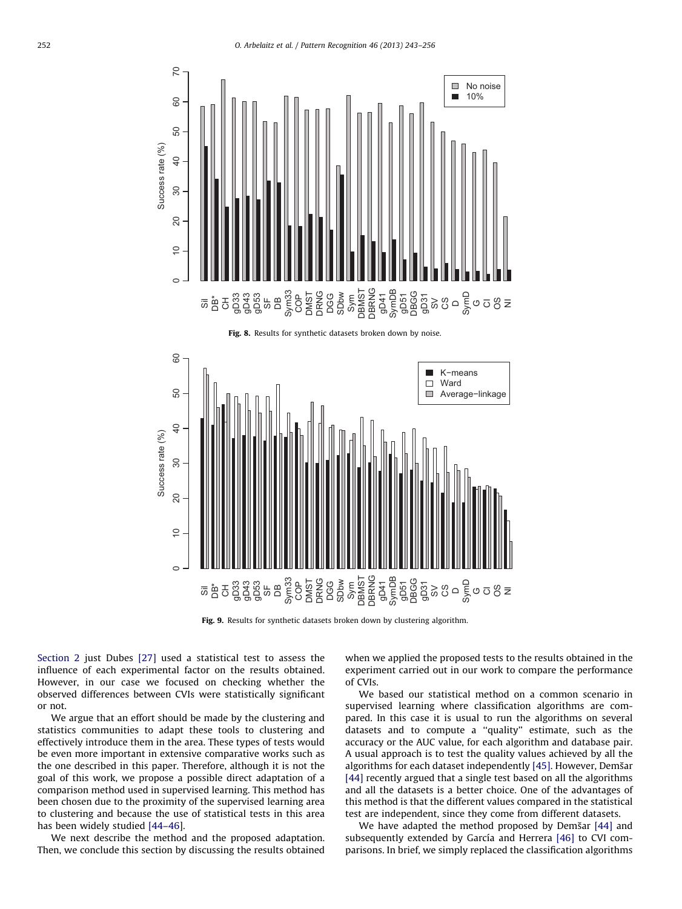<span id="page-9-0"></span>





Fig. 9. Results for synthetic datasets broken down by clustering algorithm.

[Section 2](#page-1-0) just Dubes [\[27\]](#page-12-0) used a statistical test to assess the influence of each experimental factor on the results obtained. However, in our case we focused on checking whether the observed differences between CVIs were statistically significant or not.

We argue that an effort should be made by the clustering and statistics communities to adapt these tools to clustering and effectively introduce them in the area. These types of tests would be even more important in extensive comparative works such as the one described in this paper. Therefore, although it is not the goal of this work, we propose a possible direct adaptation of a comparison method used in supervised learning. This method has been chosen due to the proximity of the supervised learning area to clustering and because the use of statistical tests in this area has been widely studied [\[44–46\]](#page-12-0).

We next describe the method and the proposed adaptation. Then, we conclude this section by discussing the results obtained

when we applied the proposed tests to the results obtained in the experiment carried out in our work to compare the performance of CVIs.

We based our statistical method on a common scenario in supervised learning where classification algorithms are compared. In this case it is usual to run the algorithms on several datasets and to compute a ''quality'' estimate, such as the accuracy or the AUC value, for each algorithm and database pair. A usual approach is to test the quality values achieved by all the algorithms for each dataset independently [\[45\].](#page-12-0) However, Demšar [\[44\]](#page-12-0) recently argued that a single test based on all the algorithms and all the datasets is a better choice. One of the advantages of this method is that the different values compared in the statistical test are independent, since they come from different datasets.

We have adapted the method proposed by Demsar [\[44\]](#page-12-0) and subsequently extended by García and Herrera [\[46\]](#page-12-0) to CVI comparisons. In brief, we simply replaced the classification algorithms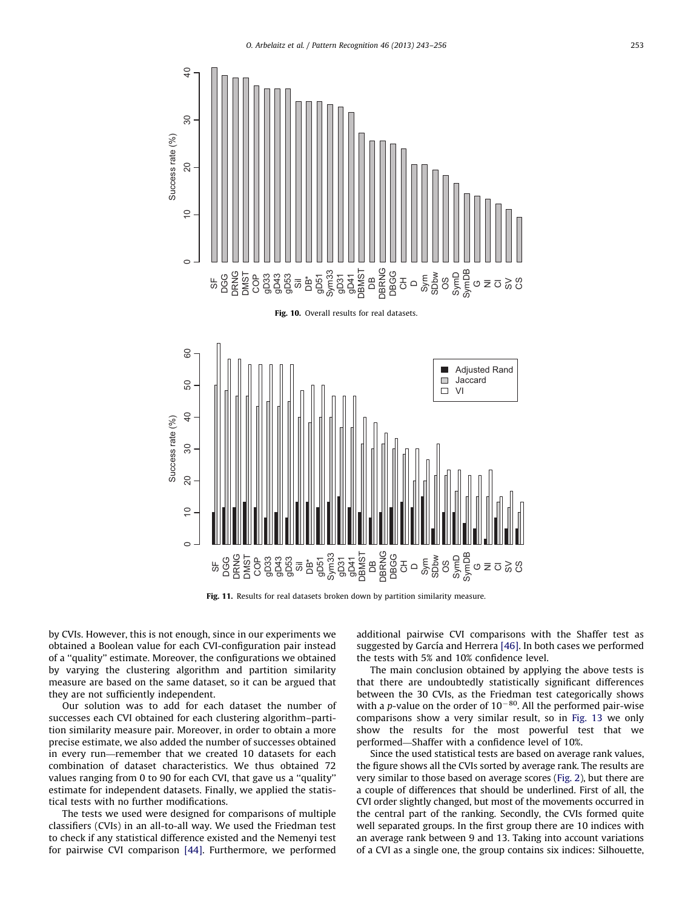<span id="page-10-0"></span>

Fig. 11. Results for real datasets broken down by partition similarity measure.

by CVIs. However, this is not enough, since in our experiments we obtained a Boolean value for each CVI-configuration pair instead of a ''quality'' estimate. Moreover, the configurations we obtained by varying the clustering algorithm and partition similarity measure are based on the same dataset, so it can be argued that they are not sufficiently independent.

Our solution was to add for each dataset the number of successes each CVI obtained for each clustering algorithm–partition similarity measure pair. Moreover, in order to obtain a more precise estimate, we also added the number of successes obtained in every run—remember that we created 10 datasets for each combination of dataset characteristics. We thus obtained 72 values ranging from 0 to 90 for each CVI, that gave us a ''quality'' estimate for independent datasets. Finally, we applied the statistical tests with no further modifications.

The tests we used were designed for comparisons of multiple classifiers (CVIs) in an all-to-all way. We used the Friedman test to check if any statistical difference existed and the Nemenyi test for pairwise CVI comparison [\[44\].](#page-12-0) Furthermore, we performed additional pairwise CVI comparisons with the Shaffer test as suggested by García and Herrera [\[46\]](#page-12-0). In both cases we performed the tests with 5% and 10% confidence level.

The main conclusion obtained by applying the above tests is that there are undoubtedly statistically significant differences between the 30 CVIs, as the Friedman test categorically shows with a p-value on the order of  $10^{-80}$ . All the performed pair-wise comparisons show a very similar result, so in [Fig. 13](#page-11-0) we only show the results for the most powerful test that we performed—Shaffer with a confidence level of 10%.

Since the used statistical tests are based on average rank values, the figure shows all the CVIs sorted by average rank. The results are very similar to those based on average scores ([Fig. 2\)](#page-6-0), but there are a couple of differences that should be underlined. First of all, the CVI order slightly changed, but most of the movements occurred in the central part of the ranking. Secondly, the CVIs formed quite well separated groups. In the first group there are 10 indices with an average rank between 9 and 13. Taking into account variations of a CVI as a single one, the group contains six indices: Silhouette,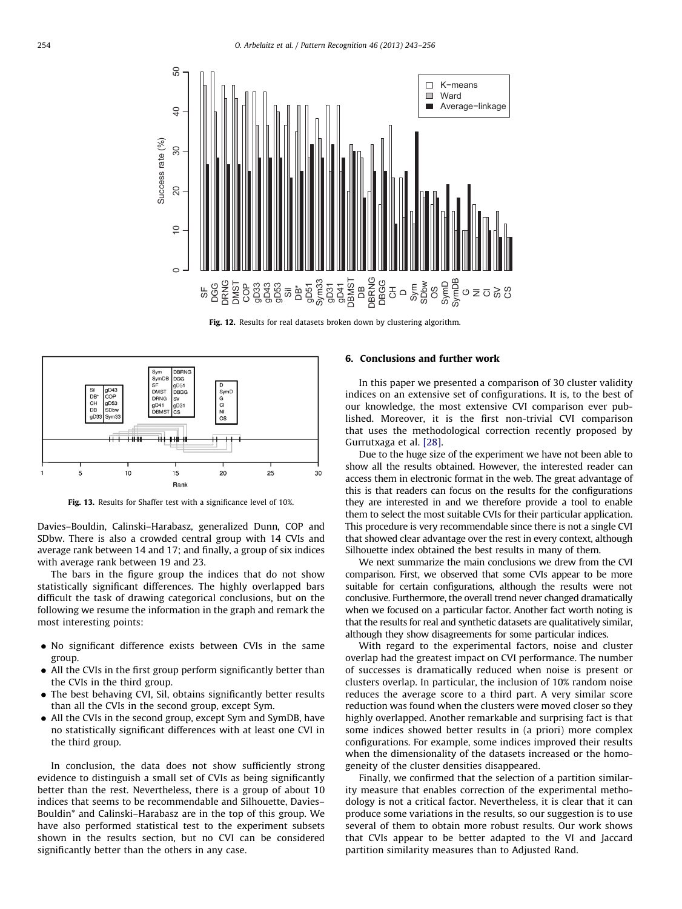<span id="page-11-0"></span>

Fig. 12. Results for real datasets broken down by clustering algorithm.



Fig. 13. Results for Shaffer test with a significance level of 10%.

Davies–Bouldin, Calinski–Harabasz, generalized Dunn, COP and SDbw. There is also a crowded central group with 14 CVIs and average rank between 14 and 17; and finally, a group of six indices with average rank between 19 and 23.

The bars in the figure group the indices that do not show statistically significant differences. The highly overlapped bars difficult the task of drawing categorical conclusions, but on the following we resume the information in the graph and remark the most interesting points:

- No significant difference exists between CVIs in the same group.
- All the CVIs in the first group perform significantly better than the CVIs in the third group.
- The best behaving CVI, Sil, obtains significantly better results than all the CVIs in the second group, except Sym.
- All the CVIs in the second group, except Sym and SymDB, have no statistically significant differences with at least one CVI in the third group.

In conclusion, the data does not show sufficiently strong evidence to distinguish a small set of CVIs as being significantly better than the rest. Nevertheless, there is a group of about 10 indices that seems to be recommendable and Silhouette, Davies– Bouldin\* and Calinski–Harabasz are in the top of this group. We have also performed statistical test to the experiment subsets shown in the results section, but no CVI can be considered significantly better than the others in any case.

## 6. Conclusions and further work

In this paper we presented a comparison of 30 cluster validity indices on an extensive set of configurations. It is, to the best of our knowledge, the most extensive CVI comparison ever published. Moreover, it is the first non-trivial CVI comparison that uses the methodological correction recently proposed by Gurrutxaga et al. [\[28\]](#page-12-0).

Due to the huge size of the experiment we have not been able to show all the results obtained. However, the interested reader can access them in electronic format in the web. The great advantage of this is that readers can focus on the results for the configurations they are interested in and we therefore provide a tool to enable them to select the most suitable CVIs for their particular application. This procedure is very recommendable since there is not a single CVI that showed clear advantage over the rest in every context, although Silhouette index obtained the best results in many of them.

We next summarize the main conclusions we drew from the CVI comparison. First, we observed that some CVIs appear to be more suitable for certain configurations, although the results were not conclusive. Furthermore, the overall trend never changed dramatically when we focused on a particular factor. Another fact worth noting is that the results for real and synthetic datasets are qualitatively similar, although they show disagreements for some particular indices.

With regard to the experimental factors, noise and cluster overlap had the greatest impact on CVI performance. The number of successes is dramatically reduced when noise is present or clusters overlap. In particular, the inclusion of 10% random noise reduces the average score to a third part. A very similar score reduction was found when the clusters were moved closer so they highly overlapped. Another remarkable and surprising fact is that some indices showed better results in (a priori) more complex configurations. For example, some indices improved their results when the dimensionality of the datasets increased or the homogeneity of the cluster densities disappeared.

Finally, we confirmed that the selection of a partition similarity measure that enables correction of the experimental methodology is not a critical factor. Nevertheless, it is clear that it can produce some variations in the results, so our suggestion is to use several of them to obtain more robust results. Our work shows that CVIs appear to be better adapted to the VI and Jaccard partition similarity measures than to Adjusted Rand.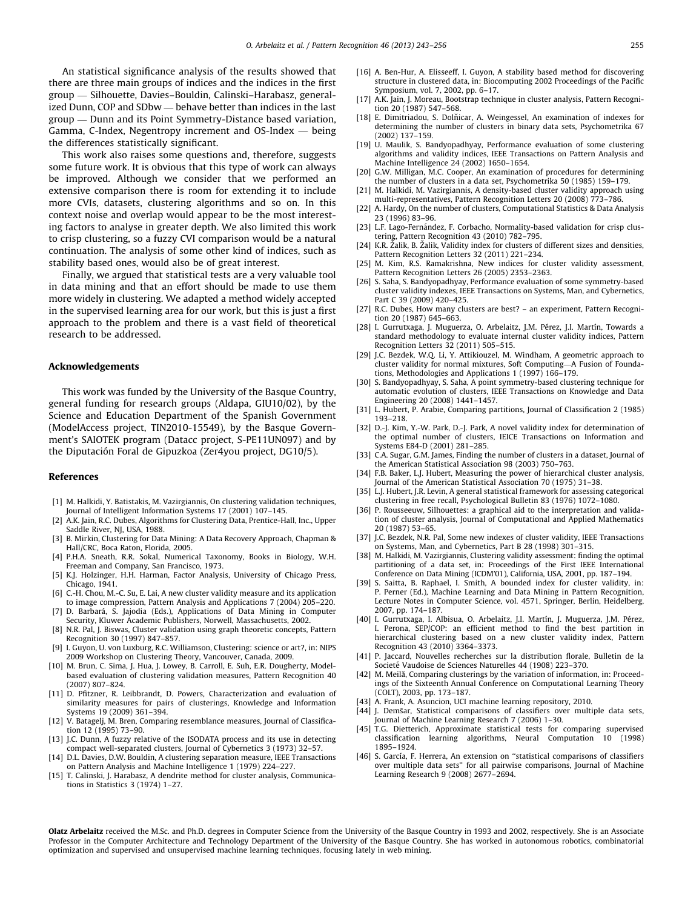<span id="page-12-0"></span>An statistical significance analysis of the results showed that there are three main groups of indices and the indices in the first group — Silhouette, Davies–Bouldin, Calinski–Harabasz, generalized Dunn, COP and SDbw — behave better than indices in the last group — Dunn and its Point Symmetry-Distance based variation, Gamma, C-Index, Negentropy increment and OS-Index — being the differences statistically significant.

This work also raises some questions and, therefore, suggests some future work. It is obvious that this type of work can always be improved. Although we consider that we performed an extensive comparison there is room for extending it to include more CVIs, datasets, clustering algorithms and so on. In this context noise and overlap would appear to be the most interesting factors to analyse in greater depth. We also limited this work to crisp clustering, so a fuzzy CVI comparison would be a natural continuation. The analysis of some other kind of indices, such as stability based ones, would also be of great interest.

Finally, we argued that statistical tests are a very valuable tool in data mining and that an effort should be made to use them more widely in clustering. We adapted a method widely accepted in the supervised learning area for our work, but this is just a first approach to the problem and there is a vast field of theoretical research to be addressed.

#### Acknowledgements

This work was funded by the University of the Basque Country, general funding for research groups (Aldapa, GIU10/02), by the Science and Education Department of the Spanish Government (ModelAccess project, TIN2010-15549), by the Basque Government's SAIOTEK program (Datacc project, S-PE11UN097) and by the Diputación Foral de Gipuzkoa (Zer4you project, DG10/5).

#### References

- [1] M. Halkidi, Y. Batistakis, M. Vazirgiannis, On clustering validation techniques, Journal of Intelligent Information Systems 17 (2001) 107–145.
- [2] A.K. Jain, R.C. Dubes, Algorithms for Clustering Data, Prentice-Hall, Inc., Upper Saddle River, NJ, USA, 1988.
- [3] B. Mirkin, Clustering for Data Mining: A Data Recovery Approach, Chapman & Hall/CRC, Boca Raton, Florida, 2005.
- [4] P.H.A. Sneath, R.R. Sokal, Numerical Taxonomy, Books in Biology, W.H. Freeman and Company, San Francisco, 1973.
- [5] K.J. Holzinger, H.H. Harman, Factor Analysis, University of Chicago Press, Chicago, 1941.
- [6] C.-H. Chou, M.-C. Su, E. Lai, A new cluster validity measure and its application to image compression, Pattern Analysis and Applications 7 (2004) 205–220.
- [7] D. Barbará, S. Jajodia (Eds.), Applications of Data Mining in Computer Security, Kluwer Academic Publishers, Norwell, Massachusetts, 2002.
- [8] N.R. Pal, J. Biswas, Cluster validation using graph theoretic concepts, Pattern Recognition 30 (1997) 847–857.
- [9] I. Guyon, U. von Luxburg, R.C. Williamson, Clustering: science or art?, in: NIPS 2009 Workshop on Clustering Theory, Vancouver, Canada, 2009.
- [10] M. Brun, C. Sima, J. Hua, J. Lowey, B. Carroll, E. Suh, E.R. Dougherty, Modelbased evaluation of clustering validation measures, Pattern Recognition 40 (2007) 807–824.
- [11] D. Pfitzner, R. Leibbrandt, D. Powers, Characterization and evaluation of similarity measures for pairs of clusterings, Knowledge and Information Systems 19 (2009) 361–394.
- V. Batagelj, M. Bren, Comparing resemblance measures, Journal of Classification 12 (1995) 73–90.
- [13] J.C. Dunn, A fuzzy relative of the ISODATA process and its use in detecting compact well-separated clusters, Journal of Cybernetics 3 (1973) 32–57.
- [14] D.L. Davies, D.W. Bouldin, A clustering separation measure, IEEE Transactions on Pattern Analysis and Machine Intelligence 1 (1979) 224–227.
- [15] T. Calinski, J. Harabasz, A dendrite method for cluster analysis, Communications in Statistics 3 (1974) 1–27.
- [16] A. Ben-Hur, A. Elisseeff, I. Guyon, A stability based method for discovering structure in clustered data, in: Biocomputing 2002 Proceedings of the Pacific Symposium, vol. 7, 2002, pp. 6–17.
- [17] A.K. Jain, J. Moreau, Bootstrap technique in cluster analysis, Pattern Recognition 20 (1987) 547–568.
- [18] E. Dimitriadou, S. Dolňicar, A. Weingessel, An examination of indexes for determining the number of clusters in binary data sets, Psychometrika 67 (2002) 137–159.
- [19] U. Maulik, S. Bandyopadhyay, Performance evaluation of some clustering algorithms and validity indices, IEEE Transactions on Pattern Analysis and Machine Intelligence 24 (2002) 1650–1654.
- [20] G.W. Milligan, M.C. Cooper, An examination of procedures for determining the number of clusters in a data set, Psychometrika 50 (1985) 159–179.
- [21] M. Halkidi, M. Vazirgiannis, A density-based cluster validity approach using multi-representatives, Pattern Recognition Letters 20 (2008) 773–786.
- [22] A. Hardy, On the number of clusters, Computational Statistics & Data Analysis 23 (1996) 83–96.
- [23] L.F. Lago-Fernández, F. Corbacho, Normality-based validation for crisp clustering, Pattern Recognition 43 (2010) 782–795.
- [24] K.R. Žalik, B. Žalik, Validity index for clusters of different sizes and densities, Pattern Recognition Letters 32 (2011) 221–234.
- [25] M. Kim, R.S. Ramakrishna, New indices for cluster validity assessment, Pattern Recognition Letters 26 (2005) 2353–2363.
- [26] S. Saha, S. Bandyopadhyay, Performance evaluation of some symmetry-based cluster validity indexes, IEEE Transactions on Systems, Man, and Cybernetics, Part C 39 (2009) 420–425.
- [27] R.C. Dubes, How many clusters are best? an experiment, Pattern Recognition 20 (1987) 645–663.
- [28] I. Gurrutxaga, J. Muguerza, O. Arbelaitz, J.M. Pérez, J.I. Martín, Towards a standard methodology to evaluate internal cluster validity indices, Pattern Recognition Letters 32 (2011) 505–515.
- [29] J.C. Bezdek, W.Q. Li, Y. Attikiouzel, M. Windham, A geometric approach to cluster validity for normal mixtures, Soft Computing—A Fusion of Foundations, Methodologies and Applications 1 (1997) 166–179.
- [30] S. Bandyopadhyay, S. Saha, A point symmetry-based clustering technique for automatic evolution of clusters, IEEE Transactions on Knowledge and Data Engineering 20 (2008) 1441–1457.
- [31] L. Hubert, P. Arabie, Comparing partitions, Journal of Classification 2 (1985) 193–218.
- [32] D.-J. Kim, Y.-W. Park, D.-J. Park, A novel validity index for determination of the optimal number of clusters, IEICE Transactions on Information and Systems E84-D (2001) 281–285.
- [33] C.A. Sugar, G.M. James, Finding the number of clusters in a dataset, Journal of the American Statistical Association 98 (2003) 750–763.
- [34] F.B. Baker, L.J. Hubert, Measuring the power of hierarchical cluster analysis, Journal of the American Statistical Association 70 (1975) 31–38.
- [35] L.J. Hubert, J.R. Levin, A general statistical framework for assessing categorical clustering in free recall, Psychological Bulletin 83 (1976) 1072–1080.
- [36] P. Rousseeuw, Silhouettes: a graphical aid to the interpretation and validation of cluster analysis, Journal of Computational and Applied Mathematics 20 (1987) 53–65.
- [37] J.C. Bezdek, N.R. Pal, Some new indexes of cluster validity, IEEE Transactions on Systems, Man, and Cybernetics, Part B 28 (1998) 301–315.
- [38] M. Halkidi, M. Vazirgiannis, Clustering validity assessment: finding the optimal partitioning of a data set, in: Proceedings of the First IEEE International Conference on Data Mining (ICDM'01), California, USA, 2001, pp. 187–194.
- [39] S. Saitta, B. Raphael, I. Smith, A bounded index for cluster validity, in: P. Perner (Ed.), Machine Learning and Data Mining in Pattern Recognition, Lecture Notes in Computer Science, vol. 4571, Springer, Berlin, Heidelberg, 2007, pp. 174–187.
- [40] I. Gurrutxaga, I. Albisua, O. Arbelaitz, J.I. Martín, J. Muguerza, J.M. Pérez, I. Perona, SEP/COP: an efficient method to find the best partition in hierarchical clustering based on a new cluster validity index, Pattern Recognition 43 (2010) 3364–3373.
- [41] P. Jaccard, Nouvelles recherches sur la distribution florale, Bulletin de la Societé Vaudoise de Sciences Naturelles 44 (1908) 223-370.
- [42] M. Meilă, Comparing clusterings by the variation of information, in: Proceedings of the Sixteenth Annual Conference on Computational Learning Theory (COLT), 2003, pp. 173–187.
- 43] A. Frank, A. Asuncion, UCI machine learning repository, 2010.
- [44] J. Demšar, Statistical comparisons of classifiers over multiple data sets, Journal of Machine Learning Research 7 (2006) 1–30.
- [45] T.G. Dietterich, Approximate statistical tests for comparing supervised classification learning algorithms, Neural Computation 10 (1998) 1895–1924.
- [46] S. García, F. Herrera, An extension on "statistical comparisons of classifiers over multiple data sets'' for all pairwise comparisons, Journal of Machine Learning Research 9 (2008) 2677–2694.

Olatz Arbelaitz received the M.Sc. and Ph.D. degrees in Computer Science from the University of the Basque Country in 1993 and 2002, respectively. She is an Associate Professor in the Computer Architecture and Technology Department of the University of the Basque Country. She has worked in autonomous robotics, combinatorial optimization and supervised and unsupervised machine learning techniques, focusing lately in web mining.